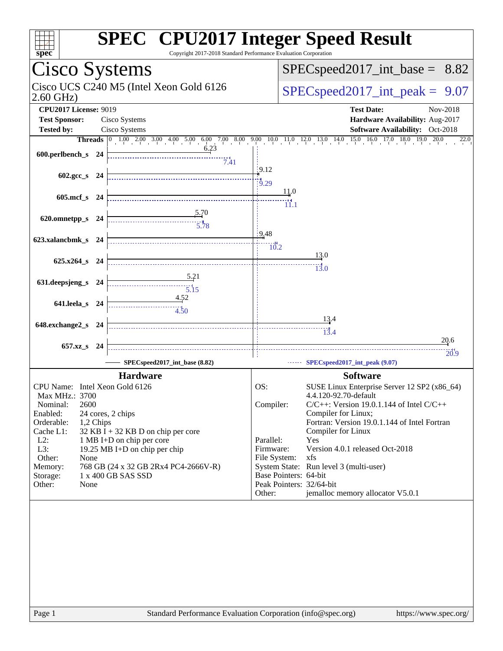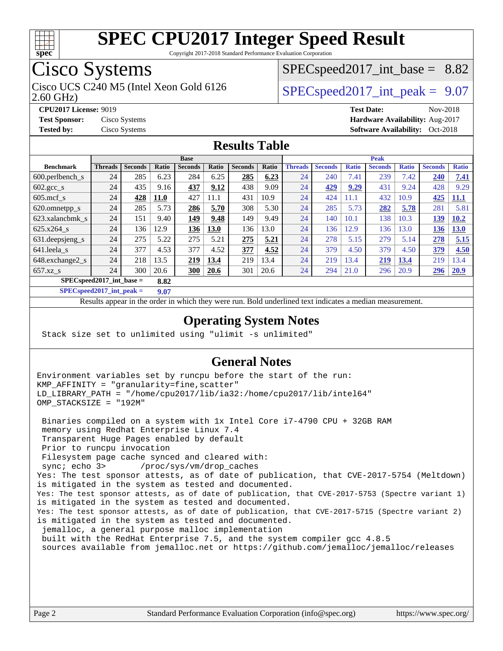

Copyright 2017-2018 Standard Performance Evaluation Corporation

## Cisco Systems

Cisco UCS C240 M5 (Intel Xeon Gold 6126  $\vert$  [SPECspeed2017\\_int\\_peak =](http://www.spec.org/auto/cpu2017/Docs/result-fields.html#SPECspeed2017intpeak) 9.07

 $SPECspeed2017\_int\_base = 8.82$ 

2.60 GHz)

**[CPU2017 License:](http://www.spec.org/auto/cpu2017/Docs/result-fields.html#CPU2017License)** 9019 **[Test Date:](http://www.spec.org/auto/cpu2017/Docs/result-fields.html#TestDate)** Nov-2018 **[Test Sponsor:](http://www.spec.org/auto/cpu2017/Docs/result-fields.html#TestSponsor)** Cisco Systems **[Hardware Availability:](http://www.spec.org/auto/cpu2017/Docs/result-fields.html#HardwareAvailability)** Aug-2017

**[Tested by:](http://www.spec.org/auto/cpu2017/Docs/result-fields.html#Testedby)** Cisco Systems **Cisco Systems [Software Availability:](http://www.spec.org/auto/cpu2017/Docs/result-fields.html#SoftwareAvailability)** Oct-2018

#### **[Results Table](http://www.spec.org/auto/cpu2017/Docs/result-fields.html#ResultsTable)**

|                                     |                | <b>Base</b>    |             |                |             | <b>Peak</b>    |       |                |                |              |                |              |                |              |
|-------------------------------------|----------------|----------------|-------------|----------------|-------------|----------------|-------|----------------|----------------|--------------|----------------|--------------|----------------|--------------|
| <b>Benchmark</b>                    | <b>Threads</b> | <b>Seconds</b> | Ratio       | <b>Seconds</b> | Ratio       | <b>Seconds</b> | Ratio | <b>Threads</b> | <b>Seconds</b> | <b>Ratio</b> | <b>Seconds</b> | <b>Ratio</b> | <b>Seconds</b> | <b>Ratio</b> |
| $600.$ perlbench $\mathsf{S}$       | 24             | 285            | 6.23        | 284            | 6.25        | 285            | 6.23  | 24             | 240            | 7.41         | 239            | 7.42         | 240            | 7.41         |
| $602 \text{.} \text{gcc}\text{.}$ s | 24             | 435            | 9.16        | 437            | 9.12        | 438            | 9.09  | 24             | 429            | 9.29         | 431            | 9.24         | 428            | 9.29         |
| $605$ .mcf s                        | 24             | 428            | <b>11.0</b> | 427            | 11.1        | 431            | 10.9  | 24             | 424            | 11.1         | 432            | 10.9         | 425            | <b>11.1</b>  |
| 620.omnetpp_s                       | 24             | 285            | 5.73        | 286            | 5.70        | 308            | 5.30  | 24             | 285            | 5.73         | 282            | 5.78         | 281            | 5.81         |
| 623.xalancbmk s                     | 24             | 151            | 9.40        | 149            | 9.48        | 149            | 9.49  | 24             | 140            | 10.1         | 138            | 10.3         | 139            | 10.2         |
| 625.x264 s                          | 24             | 136            | 12.9        | 136            | 13.0        | 136            | 13.0  | 24             | 136            | 12.9         | 136            | 13.0         | 136            | 13.0         |
| 631.deepsjeng_s                     | 24             | 275            | 5.22        | 275            | 5.21        | 275            | 5.21  | 24             | 278            | 5.15         | 279            | 5.14         | 278            | 5.15         |
| 641.leela s                         | 24             | 377            | 4.53        | 377            | 4.52        | 377            | 4.52  | 24             | 379            | 4.50         | 379            | 4.50         | 379            | 4.50         |
| 648.exchange2_s                     | 24             | 218            | 13.5        | 219            | 13.4        | 219            | 13.4  | 24             | 219            | 13.4         | <u>219</u>     | 13.4         | 219            | 13.4         |
| $657.xz$ s                          | 24             | 300            | 20.6        | <b>300</b>     | <b>20.6</b> | 301            | 20.6  | 24             | 294            | 21.0         | 296            | 20.9         | 296            | 20.9         |
| $SPEC speed2017$ int base =         |                |                | 8.82        |                |             |                |       |                |                |              |                |              |                |              |

**[SPECspeed2017\\_int\\_peak =](http://www.spec.org/auto/cpu2017/Docs/result-fields.html#SPECspeed2017intpeak) 9.07**

Results appear in the [order in which they were run.](http://www.spec.org/auto/cpu2017/Docs/result-fields.html#RunOrder) Bold underlined text [indicates a median measurement](http://www.spec.org/auto/cpu2017/Docs/result-fields.html#Median).

#### **[Operating System Notes](http://www.spec.org/auto/cpu2017/Docs/result-fields.html#OperatingSystemNotes)**

Stack size set to unlimited using "ulimit -s unlimited"

#### **[General Notes](http://www.spec.org/auto/cpu2017/Docs/result-fields.html#GeneralNotes)**

Environment variables set by runcpu before the start of the run: KMP\_AFFINITY = "granularity=fine,scatter" LD\_LIBRARY\_PATH = "/home/cpu2017/lib/ia32:/home/cpu2017/lib/intel64" OMP\_STACKSIZE = "192M"

 Binaries compiled on a system with 1x Intel Core i7-4790 CPU + 32GB RAM memory using Redhat Enterprise Linux 7.4 Transparent Huge Pages enabled by default Prior to runcpu invocation Filesystem page cache synced and cleared with: sync; echo 3> /proc/sys/vm/drop\_caches Yes: The test sponsor attests, as of date of publication, that CVE-2017-5754 (Meltdown) is mitigated in the system as tested and documented. Yes: The test sponsor attests, as of date of publication, that CVE-2017-5753 (Spectre variant 1) is mitigated in the system as tested and documented. Yes: The test sponsor attests, as of date of publication, that CVE-2017-5715 (Spectre variant 2) is mitigated in the system as tested and documented. jemalloc, a general purpose malloc implementation built with the RedHat Enterprise 7.5, and the system compiler gcc 4.8.5 sources available from jemalloc.net or<https://github.com/jemalloc/jemalloc/releases>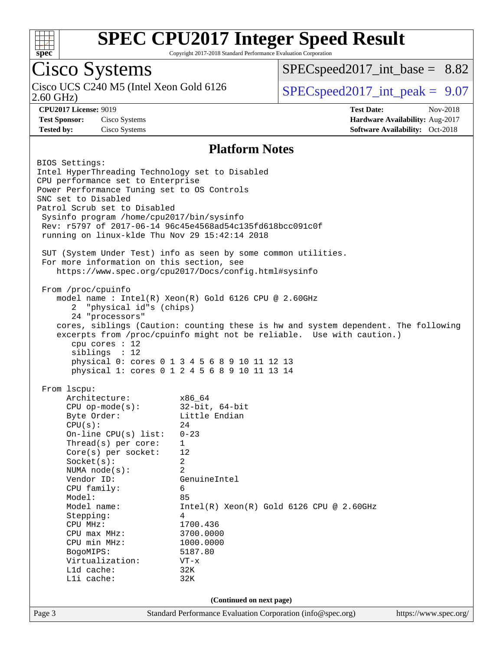

Copyright 2017-2018 Standard Performance Evaluation Corporation

## Cisco Systems

2.60 GHz) Cisco UCS C240 M5 (Intel Xeon Gold 6126  $\vert$  [SPECspeed2017\\_int\\_peak =](http://www.spec.org/auto/cpu2017/Docs/result-fields.html#SPECspeed2017intpeak) 9.07

 $SPECspeed2017\_int\_base = 8.82$ 

**[Test Sponsor:](http://www.spec.org/auto/cpu2017/Docs/result-fields.html#TestSponsor)** Cisco Systems **[Hardware Availability:](http://www.spec.org/auto/cpu2017/Docs/result-fields.html#HardwareAvailability)** Aug-2017

**[CPU2017 License:](http://www.spec.org/auto/cpu2017/Docs/result-fields.html#CPU2017License)** 9019 **[Test Date:](http://www.spec.org/auto/cpu2017/Docs/result-fields.html#TestDate)** Nov-2018 **[Tested by:](http://www.spec.org/auto/cpu2017/Docs/result-fields.html#Testedby)** Cisco Systems **[Software Availability:](http://www.spec.org/auto/cpu2017/Docs/result-fields.html#SoftwareAvailability)** Oct-2018

#### **[Platform Notes](http://www.spec.org/auto/cpu2017/Docs/result-fields.html#PlatformNotes)**

Page 3 Standard Performance Evaluation Corporation [\(info@spec.org\)](mailto:info@spec.org) <https://www.spec.org/> BIOS Settings: Intel HyperThreading Technology set to Disabled CPU performance set to Enterprise Power Performance Tuning set to OS Controls SNC set to Disabled Patrol Scrub set to Disabled Sysinfo program /home/cpu2017/bin/sysinfo Rev: r5797 of 2017-06-14 96c45e4568ad54c135fd618bcc091c0f running on linux-klde Thu Nov 29 15:42:14 2018 SUT (System Under Test) info as seen by some common utilities. For more information on this section, see <https://www.spec.org/cpu2017/Docs/config.html#sysinfo> From /proc/cpuinfo model name : Intel(R) Xeon(R) Gold 6126 CPU @ 2.60GHz 2 "physical id"s (chips) 24 "processors" cores, siblings (Caution: counting these is hw and system dependent. The following excerpts from /proc/cpuinfo might not be reliable. Use with caution.) cpu cores : 12 siblings : 12 physical 0: cores 0 1 3 4 5 6 8 9 10 11 12 13 physical 1: cores 0 1 2 4 5 6 8 9 10 11 13 14 From lscpu: Architecture: x86\_64 CPU op-mode(s): 32-bit, 64-bit Byte Order: Little Endian  $CPU(s):$  24 On-line CPU(s) list: 0-23 Thread(s) per core: 1 Core(s) per socket: 12 Socket(s): 2 NUMA node(s): 2 Vendor ID: GenuineIntel CPU family: 6 Model: 85 Model name: Intel(R) Xeon(R) Gold 6126 CPU @ 2.60GHz Stepping: 4 CPU MHz: 1700.436 CPU max MHz: 3700.0000<br>CPU min MHz: 1000.0000 CPU min MHz: 1000.0000 BogoMIPS: 5187.80 Virtualization: VT-x L1d cache: 32K L1i cache: 32K **(Continued on next page)**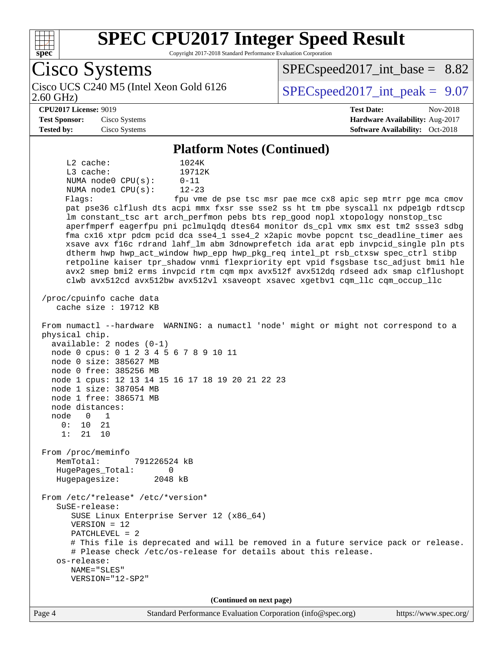

Copyright 2017-2018 Standard Performance Evaluation Corporation

Cisco Systems 2.60 GHz) Cisco UCS C240 M5 (Intel Xeon Gold 6126  $\vert$  [SPECspeed2017\\_int\\_peak =](http://www.spec.org/auto/cpu2017/Docs/result-fields.html#SPECspeed2017intpeak) 9.07  $SPECspeed2017\_int\_base = 8.82$ **[CPU2017 License:](http://www.spec.org/auto/cpu2017/Docs/result-fields.html#CPU2017License)** 9019 **[Test Date:](http://www.spec.org/auto/cpu2017/Docs/result-fields.html#TestDate)** Nov-2018 **[Test Sponsor:](http://www.spec.org/auto/cpu2017/Docs/result-fields.html#TestSponsor)** Cisco Systems **[Hardware Availability:](http://www.spec.org/auto/cpu2017/Docs/result-fields.html#HardwareAvailability)** Aug-2017 **[Tested by:](http://www.spec.org/auto/cpu2017/Docs/result-fields.html#Testedby)** Cisco Systems **[Software Availability:](http://www.spec.org/auto/cpu2017/Docs/result-fields.html#SoftwareAvailability)** Oct-2018 **[Platform Notes \(Continued\)](http://www.spec.org/auto/cpu2017/Docs/result-fields.html#PlatformNotes)** L2 cache: 1024K L3 cache: 19712K NUMA node0 CPU(s): 0-11 NUMA node1 CPU(s): 12-23 Flags: fpu vme de pse tsc msr pae mce cx8 apic sep mtrr pge mca cmov pat pse36 clflush dts acpi mmx fxsr sse sse2 ss ht tm pbe syscall nx pdpe1gb rdtscp lm constant\_tsc art arch\_perfmon pebs bts rep\_good nopl xtopology nonstop\_tsc aperfmperf eagerfpu pni pclmulqdq dtes64 monitor ds\_cpl vmx smx est tm2 ssse3 sdbg fma cx16 xtpr pdcm pcid dca sse4\_1 sse4\_2 x2apic movbe popcnt tsc\_deadline\_timer aes xsave avx f16c rdrand lahf\_lm abm 3dnowprefetch ida arat epb invpcid\_single pln pts dtherm hwp hwp\_act\_window hwp\_epp hwp\_pkg\_req intel\_pt rsb\_ctxsw spec\_ctrl stibp retpoline kaiser tpr\_shadow vnmi flexpriority ept vpid fsgsbase tsc\_adjust bmi1 hle avx2 smep bmi2 erms invpcid rtm cqm mpx avx512f avx512dq rdseed adx smap clflushopt clwb avx512cd avx512bw avx512vl xsaveopt xsavec xgetbv1 cqm\_llc cqm\_occup\_llc /proc/cpuinfo cache data cache size : 19712 KB From numactl --hardware WARNING: a numactl 'node' might or might not correspond to a physical chip. available: 2 nodes (0-1) node 0 cpus: 0 1 2 3 4 5 6 7 8 9 10 11 node 0 size: 385627 MB node 0 free: 385256 MB node 1 cpus: 12 13 14 15 16 17 18 19 20 21 22 23 node 1 size: 387054 MB node 1 free: 386571 MB node distances: node 0 1 0: 10 21 1: 21 10 From /proc/meminfo MemTotal: 791226524 kB HugePages\_Total: 0 Hugepagesize: 2048 kB From /etc/\*release\* /etc/\*version\* SuSE-release: SUSE Linux Enterprise Server 12 (x86\_64) VERSION = 12 PATCHLEVEL = 2 # This file is deprecated and will be removed in a future service pack or release. # Please check /etc/os-release for details about this release. os-release: NAME="SLES" VERSION="12-SP2" **(Continued on next page)**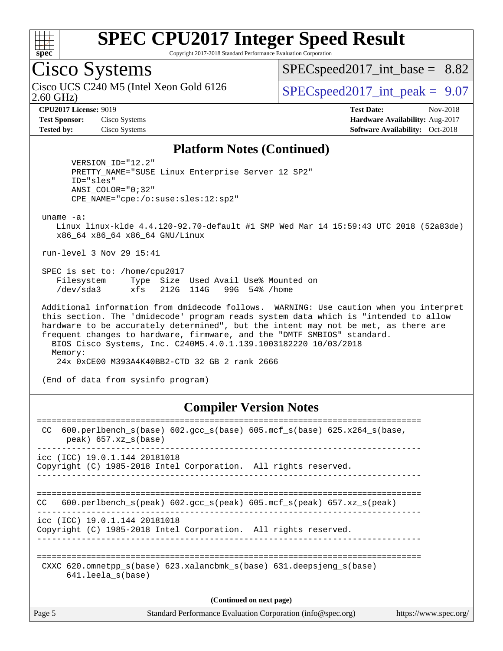

Copyright 2017-2018 Standard Performance Evaluation Corporation

### Cisco Systems

2.60 GHz) Cisco UCS C240 M5 (Intel Xeon Gold 6126  $\vert$  [SPECspeed2017\\_int\\_peak =](http://www.spec.org/auto/cpu2017/Docs/result-fields.html#SPECspeed2017intpeak) 9.07

 $SPECspeed2017\_int\_base = 8.82$ 

**[CPU2017 License:](http://www.spec.org/auto/cpu2017/Docs/result-fields.html#CPU2017License)** 9019 **[Test Date:](http://www.spec.org/auto/cpu2017/Docs/result-fields.html#TestDate)** Nov-2018 **[Test Sponsor:](http://www.spec.org/auto/cpu2017/Docs/result-fields.html#TestSponsor)** Cisco Systems **[Hardware Availability:](http://www.spec.org/auto/cpu2017/Docs/result-fields.html#HardwareAvailability)** Aug-2017 **[Tested by:](http://www.spec.org/auto/cpu2017/Docs/result-fields.html#Testedby)** Cisco Systems **[Software Availability:](http://www.spec.org/auto/cpu2017/Docs/result-fields.html#SoftwareAvailability)** Oct-2018

#### **[Platform Notes \(Continued\)](http://www.spec.org/auto/cpu2017/Docs/result-fields.html#PlatformNotes)**

 VERSION\_ID="12.2" PRETTY\_NAME="SUSE Linux Enterprise Server 12 SP2" ID="sles" ANSI\_COLOR="0;32" CPE\_NAME="cpe:/o:suse:sles:12:sp2"

uname -a:

 Linux linux-klde 4.4.120-92.70-default #1 SMP Wed Mar 14 15:59:43 UTC 2018 (52a83de) x86\_64 x86\_64 x86\_64 GNU/Linux

run-level 3 Nov 29 15:41

 SPEC is set to: /home/cpu2017 Filesystem Type Size Used Avail Use% Mounted on /dev/sda3 xfs 212G 114G 99G 54% /home

 Additional information from dmidecode follows. WARNING: Use caution when you interpret this section. The 'dmidecode' program reads system data which is "intended to allow hardware to be accurately determined", but the intent may not be met, as there are frequent changes to hardware, firmware, and the "DMTF SMBIOS" standard. BIOS Cisco Systems, Inc. C240M5.4.0.1.139.1003182220 10/03/2018 Memory: 24x 0xCE00 M393A4K40BB2-CTD 32 GB 2 rank 2666

(End of data from sysinfo program)

#### **[Compiler Version Notes](http://www.spec.org/auto/cpu2017/Docs/result-fields.html#CompilerVersionNotes)**

| 600.perlbench $s(base)$ 602.qcc $s(base)$ 605.mcf $s(base)$ 625.x264 $s(base)$ ,<br>CC.<br>$peak)$ 657.xz $s(base)$ |
|---------------------------------------------------------------------------------------------------------------------|
| icc (ICC) 19.0.1.144 20181018<br>Copyright (C) 1985-2018 Intel Corporation. All rights reserved.                    |
| 600.perlbench $s$ (peak) 602.gcc $s$ (peak) 605.mcf $s$ (peak) 657.xz $s$ (peak)<br>CC.                             |
| icc (ICC) 19.0.1.144 20181018<br>Copyright (C) 1985-2018 Intel Corporation. All rights reserved.                    |
| CXXC 620.omnetpp $s(base)$ 623.xalancbmk $s(base)$ 631.deepsjeng $s(base)$<br>$641.$ leela $s$ (base)               |
| (Continued on next page)                                                                                            |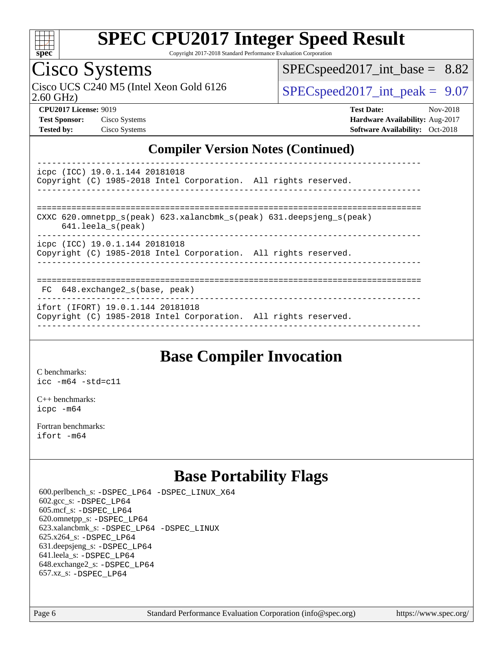

Copyright 2017-2018 Standard Performance Evaluation Corporation

### Cisco Systems

2.60 GHz) Cisco UCS C240 M5 (Intel Xeon Gold 6126  $\vert$  [SPECspeed2017\\_int\\_peak =](http://www.spec.org/auto/cpu2017/Docs/result-fields.html#SPECspeed2017intpeak) 9.07

 $SPECspeed2017\_int\_base = 8.82$ 

**[CPU2017 License:](http://www.spec.org/auto/cpu2017/Docs/result-fields.html#CPU2017License)** 9019 **[Test Date:](http://www.spec.org/auto/cpu2017/Docs/result-fields.html#TestDate)** Nov-2018 **[Test Sponsor:](http://www.spec.org/auto/cpu2017/Docs/result-fields.html#TestSponsor)** Cisco Systems **[Hardware Availability:](http://www.spec.org/auto/cpu2017/Docs/result-fields.html#HardwareAvailability)** Aug-2017 **[Tested by:](http://www.spec.org/auto/cpu2017/Docs/result-fields.html#Testedby)** Cisco Systems **[Software Availability:](http://www.spec.org/auto/cpu2017/Docs/result-fields.html#SoftwareAvailability)** Oct-2018

#### **[Compiler Version Notes \(Continued\)](http://www.spec.org/auto/cpu2017/Docs/result-fields.html#CompilerVersionNotes)**

----------------------------------------------------------------------------- icpc (ICC) 19.0.1.144 20181018 Copyright (C) 1985-2018 Intel Corporation. All rights reserved. ------------------------------------------------------------------------------ ============================================================================== CXXC 620.omnetpp  $s(\text{peak})$  623.xalancbmk  $s(\text{peak})$  631.deepsjeng  $s(\text{peak})$  641.leela\_s(peak) ----------------------------------------------------------------------------- icpc (ICC) 19.0.1.144 20181018 Copyright (C) 1985-2018 Intel Corporation. All rights reserved. ------------------------------------------------------------------------------ ============================================================================== FC 648.exchange2\_s(base, peak) ------------------------------------------------------------------------------

ifort (IFORT) 19.0.1.144 20181018

Copyright (C) 1985-2018 Intel Corporation. All rights reserved. ------------------------------------------------------------------------------

#### **[Base Compiler Invocation](http://www.spec.org/auto/cpu2017/Docs/result-fields.html#BaseCompilerInvocation)**

[C benchmarks](http://www.spec.org/auto/cpu2017/Docs/result-fields.html#Cbenchmarks): [icc -m64 -std=c11](http://www.spec.org/cpu2017/results/res2018q4/cpu2017-20181211-10248.flags.html#user_CCbase_intel_icc_64bit_c11_33ee0cdaae7deeeab2a9725423ba97205ce30f63b9926c2519791662299b76a0318f32ddfffdc46587804de3178b4f9328c46fa7c2b0cd779d7a61945c91cd35)

[C++ benchmarks:](http://www.spec.org/auto/cpu2017/Docs/result-fields.html#CXXbenchmarks) [icpc -m64](http://www.spec.org/cpu2017/results/res2018q4/cpu2017-20181211-10248.flags.html#user_CXXbase_intel_icpc_64bit_4ecb2543ae3f1412ef961e0650ca070fec7b7afdcd6ed48761b84423119d1bf6bdf5cad15b44d48e7256388bc77273b966e5eb805aefd121eb22e9299b2ec9d9)

[Fortran benchmarks](http://www.spec.org/auto/cpu2017/Docs/result-fields.html#Fortranbenchmarks): [ifort -m64](http://www.spec.org/cpu2017/results/res2018q4/cpu2017-20181211-10248.flags.html#user_FCbase_intel_ifort_64bit_24f2bb282fbaeffd6157abe4f878425411749daecae9a33200eee2bee2fe76f3b89351d69a8130dd5949958ce389cf37ff59a95e7a40d588e8d3a57e0c3fd751)

### **[Base Portability Flags](http://www.spec.org/auto/cpu2017/Docs/result-fields.html#BasePortabilityFlags)**

 600.perlbench\_s: [-DSPEC\\_LP64](http://www.spec.org/cpu2017/results/res2018q4/cpu2017-20181211-10248.flags.html#b600.perlbench_s_basePORTABILITY_DSPEC_LP64) [-DSPEC\\_LINUX\\_X64](http://www.spec.org/cpu2017/results/res2018q4/cpu2017-20181211-10248.flags.html#b600.perlbench_s_baseCPORTABILITY_DSPEC_LINUX_X64) 602.gcc\_s: [-DSPEC\\_LP64](http://www.spec.org/cpu2017/results/res2018q4/cpu2017-20181211-10248.flags.html#suite_basePORTABILITY602_gcc_s_DSPEC_LP64) 605.mcf\_s: [-DSPEC\\_LP64](http://www.spec.org/cpu2017/results/res2018q4/cpu2017-20181211-10248.flags.html#suite_basePORTABILITY605_mcf_s_DSPEC_LP64) 620.omnetpp\_s: [-DSPEC\\_LP64](http://www.spec.org/cpu2017/results/res2018q4/cpu2017-20181211-10248.flags.html#suite_basePORTABILITY620_omnetpp_s_DSPEC_LP64) 623.xalancbmk\_s: [-DSPEC\\_LP64](http://www.spec.org/cpu2017/results/res2018q4/cpu2017-20181211-10248.flags.html#suite_basePORTABILITY623_xalancbmk_s_DSPEC_LP64) [-DSPEC\\_LINUX](http://www.spec.org/cpu2017/results/res2018q4/cpu2017-20181211-10248.flags.html#b623.xalancbmk_s_baseCXXPORTABILITY_DSPEC_LINUX) 625.x264\_s: [-DSPEC\\_LP64](http://www.spec.org/cpu2017/results/res2018q4/cpu2017-20181211-10248.flags.html#suite_basePORTABILITY625_x264_s_DSPEC_LP64) 631.deepsjeng\_s: [-DSPEC\\_LP64](http://www.spec.org/cpu2017/results/res2018q4/cpu2017-20181211-10248.flags.html#suite_basePORTABILITY631_deepsjeng_s_DSPEC_LP64) 641.leela\_s: [-DSPEC\\_LP64](http://www.spec.org/cpu2017/results/res2018q4/cpu2017-20181211-10248.flags.html#suite_basePORTABILITY641_leela_s_DSPEC_LP64) 648.exchange2\_s: [-DSPEC\\_LP64](http://www.spec.org/cpu2017/results/res2018q4/cpu2017-20181211-10248.flags.html#suite_basePORTABILITY648_exchange2_s_DSPEC_LP64) 657.xz\_s: [-DSPEC\\_LP64](http://www.spec.org/cpu2017/results/res2018q4/cpu2017-20181211-10248.flags.html#suite_basePORTABILITY657_xz_s_DSPEC_LP64)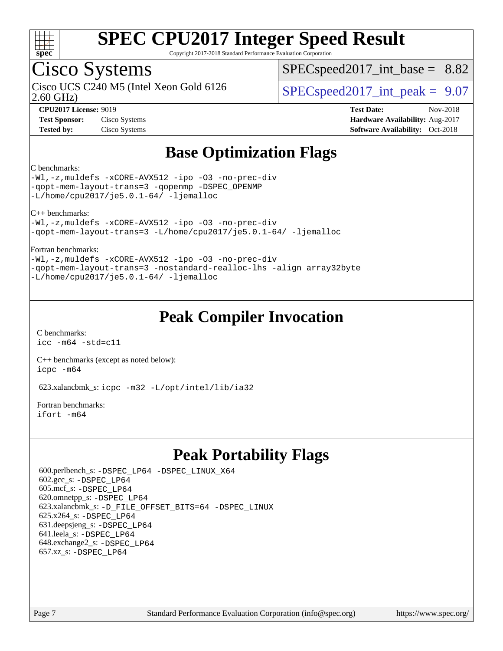

Copyright 2017-2018 Standard Performance Evaluation Corporation

### Cisco Systems

2.60 GHz) Cisco UCS C240 M5 (Intel Xeon Gold 6126  $\vert$  [SPECspeed2017\\_int\\_peak =](http://www.spec.org/auto/cpu2017/Docs/result-fields.html#SPECspeed2017intpeak) 9.07

 $SPECspeed2017\_int\_base = 8.82$ 

**[CPU2017 License:](http://www.spec.org/auto/cpu2017/Docs/result-fields.html#CPU2017License)** 9019 **[Test Date:](http://www.spec.org/auto/cpu2017/Docs/result-fields.html#TestDate)** Nov-2018 **[Test Sponsor:](http://www.spec.org/auto/cpu2017/Docs/result-fields.html#TestSponsor)** Cisco Systems **[Hardware Availability:](http://www.spec.org/auto/cpu2017/Docs/result-fields.html#HardwareAvailability)** Aug-2017 **[Tested by:](http://www.spec.org/auto/cpu2017/Docs/result-fields.html#Testedby)** Cisco Systems **[Software Availability:](http://www.spec.org/auto/cpu2017/Docs/result-fields.html#SoftwareAvailability)** Oct-2018

### **[Base Optimization Flags](http://www.spec.org/auto/cpu2017/Docs/result-fields.html#BaseOptimizationFlags)**

#### [C benchmarks:](http://www.spec.org/auto/cpu2017/Docs/result-fields.html#Cbenchmarks)

[-Wl,-z,muldefs](http://www.spec.org/cpu2017/results/res2018q4/cpu2017-20181211-10248.flags.html#user_CCbase_link_force_multiple1_b4cbdb97b34bdee9ceefcfe54f4c8ea74255f0b02a4b23e853cdb0e18eb4525ac79b5a88067c842dd0ee6996c24547a27a4b99331201badda8798ef8a743f577) [-xCORE-AVX512](http://www.spec.org/cpu2017/results/res2018q4/cpu2017-20181211-10248.flags.html#user_CCbase_f-xCORE-AVX512) [-ipo](http://www.spec.org/cpu2017/results/res2018q4/cpu2017-20181211-10248.flags.html#user_CCbase_f-ipo) [-O3](http://www.spec.org/cpu2017/results/res2018q4/cpu2017-20181211-10248.flags.html#user_CCbase_f-O3) [-no-prec-div](http://www.spec.org/cpu2017/results/res2018q4/cpu2017-20181211-10248.flags.html#user_CCbase_f-no-prec-div) [-qopt-mem-layout-trans=3](http://www.spec.org/cpu2017/results/res2018q4/cpu2017-20181211-10248.flags.html#user_CCbase_f-qopt-mem-layout-trans_de80db37974c74b1f0e20d883f0b675c88c3b01e9d123adea9b28688d64333345fb62bc4a798493513fdb68f60282f9a726aa07f478b2f7113531aecce732043) [-qopenmp](http://www.spec.org/cpu2017/results/res2018q4/cpu2017-20181211-10248.flags.html#user_CCbase_qopenmp_16be0c44f24f464004c6784a7acb94aca937f053568ce72f94b139a11c7c168634a55f6653758ddd83bcf7b8463e8028bb0b48b77bcddc6b78d5d95bb1df2967) [-DSPEC\\_OPENMP](http://www.spec.org/cpu2017/results/res2018q4/cpu2017-20181211-10248.flags.html#suite_CCbase_DSPEC_OPENMP) [-L/home/cpu2017/je5.0.1-64/](http://www.spec.org/cpu2017/results/res2018q4/cpu2017-20181211-10248.flags.html#user_CCbase_jemalloc_link_path64_8e927a5f1bdac0405e66c637541874330e08086b5e62a1d024bcf3497e3c64fd173c8afb7d1730d51f6da781ef4c439bdab468bb8364cf71435e0c609fac500c) [-ljemalloc](http://www.spec.org/cpu2017/results/res2018q4/cpu2017-20181211-10248.flags.html#user_CCbase_jemalloc_link_lib_d1249b907c500fa1c0672f44f562e3d0f79738ae9e3c4a9c376d49f265a04b9c99b167ecedbf6711b3085be911c67ff61f150a17b3472be731631ba4d0471706)

[C++ benchmarks:](http://www.spec.org/auto/cpu2017/Docs/result-fields.html#CXXbenchmarks)

[-Wl,-z,muldefs](http://www.spec.org/cpu2017/results/res2018q4/cpu2017-20181211-10248.flags.html#user_CXXbase_link_force_multiple1_b4cbdb97b34bdee9ceefcfe54f4c8ea74255f0b02a4b23e853cdb0e18eb4525ac79b5a88067c842dd0ee6996c24547a27a4b99331201badda8798ef8a743f577) [-xCORE-AVX512](http://www.spec.org/cpu2017/results/res2018q4/cpu2017-20181211-10248.flags.html#user_CXXbase_f-xCORE-AVX512) [-ipo](http://www.spec.org/cpu2017/results/res2018q4/cpu2017-20181211-10248.flags.html#user_CXXbase_f-ipo) [-O3](http://www.spec.org/cpu2017/results/res2018q4/cpu2017-20181211-10248.flags.html#user_CXXbase_f-O3) [-no-prec-div](http://www.spec.org/cpu2017/results/res2018q4/cpu2017-20181211-10248.flags.html#user_CXXbase_f-no-prec-div) [-qopt-mem-layout-trans=3](http://www.spec.org/cpu2017/results/res2018q4/cpu2017-20181211-10248.flags.html#user_CXXbase_f-qopt-mem-layout-trans_de80db37974c74b1f0e20d883f0b675c88c3b01e9d123adea9b28688d64333345fb62bc4a798493513fdb68f60282f9a726aa07f478b2f7113531aecce732043) [-L/home/cpu2017/je5.0.1-64/](http://www.spec.org/cpu2017/results/res2018q4/cpu2017-20181211-10248.flags.html#user_CXXbase_jemalloc_link_path64_8e927a5f1bdac0405e66c637541874330e08086b5e62a1d024bcf3497e3c64fd173c8afb7d1730d51f6da781ef4c439bdab468bb8364cf71435e0c609fac500c) [-ljemalloc](http://www.spec.org/cpu2017/results/res2018q4/cpu2017-20181211-10248.flags.html#user_CXXbase_jemalloc_link_lib_d1249b907c500fa1c0672f44f562e3d0f79738ae9e3c4a9c376d49f265a04b9c99b167ecedbf6711b3085be911c67ff61f150a17b3472be731631ba4d0471706)

#### [Fortran benchmarks](http://www.spec.org/auto/cpu2017/Docs/result-fields.html#Fortranbenchmarks):

[-Wl,-z,muldefs](http://www.spec.org/cpu2017/results/res2018q4/cpu2017-20181211-10248.flags.html#user_FCbase_link_force_multiple1_b4cbdb97b34bdee9ceefcfe54f4c8ea74255f0b02a4b23e853cdb0e18eb4525ac79b5a88067c842dd0ee6996c24547a27a4b99331201badda8798ef8a743f577) [-xCORE-AVX512](http://www.spec.org/cpu2017/results/res2018q4/cpu2017-20181211-10248.flags.html#user_FCbase_f-xCORE-AVX512) [-ipo](http://www.spec.org/cpu2017/results/res2018q4/cpu2017-20181211-10248.flags.html#user_FCbase_f-ipo) [-O3](http://www.spec.org/cpu2017/results/res2018q4/cpu2017-20181211-10248.flags.html#user_FCbase_f-O3) [-no-prec-div](http://www.spec.org/cpu2017/results/res2018q4/cpu2017-20181211-10248.flags.html#user_FCbase_f-no-prec-div) [-qopt-mem-layout-trans=3](http://www.spec.org/cpu2017/results/res2018q4/cpu2017-20181211-10248.flags.html#user_FCbase_f-qopt-mem-layout-trans_de80db37974c74b1f0e20d883f0b675c88c3b01e9d123adea9b28688d64333345fb62bc4a798493513fdb68f60282f9a726aa07f478b2f7113531aecce732043) [-nostandard-realloc-lhs](http://www.spec.org/cpu2017/results/res2018q4/cpu2017-20181211-10248.flags.html#user_FCbase_f_2003_std_realloc_82b4557e90729c0f113870c07e44d33d6f5a304b4f63d4c15d2d0f1fab99f5daaed73bdb9275d9ae411527f28b936061aa8b9c8f2d63842963b95c9dd6426b8a) [-align array32byte](http://www.spec.org/cpu2017/results/res2018q4/cpu2017-20181211-10248.flags.html#user_FCbase_align_array32byte_b982fe038af199962ba9a80c053b8342c548c85b40b8e86eb3cc33dee0d7986a4af373ac2d51c3f7cf710a18d62fdce2948f201cd044323541f22fc0fffc51b6) [-L/home/cpu2017/je5.0.1-64/](http://www.spec.org/cpu2017/results/res2018q4/cpu2017-20181211-10248.flags.html#user_FCbase_jemalloc_link_path64_8e927a5f1bdac0405e66c637541874330e08086b5e62a1d024bcf3497e3c64fd173c8afb7d1730d51f6da781ef4c439bdab468bb8364cf71435e0c609fac500c) [-ljemalloc](http://www.spec.org/cpu2017/results/res2018q4/cpu2017-20181211-10248.flags.html#user_FCbase_jemalloc_link_lib_d1249b907c500fa1c0672f44f562e3d0f79738ae9e3c4a9c376d49f265a04b9c99b167ecedbf6711b3085be911c67ff61f150a17b3472be731631ba4d0471706)

#### **[Peak Compiler Invocation](http://www.spec.org/auto/cpu2017/Docs/result-fields.html#PeakCompilerInvocation)**

[C benchmarks](http://www.spec.org/auto/cpu2017/Docs/result-fields.html#Cbenchmarks): [icc -m64 -std=c11](http://www.spec.org/cpu2017/results/res2018q4/cpu2017-20181211-10248.flags.html#user_CCpeak_intel_icc_64bit_c11_33ee0cdaae7deeeab2a9725423ba97205ce30f63b9926c2519791662299b76a0318f32ddfffdc46587804de3178b4f9328c46fa7c2b0cd779d7a61945c91cd35)

[C++ benchmarks \(except as noted below\):](http://www.spec.org/auto/cpu2017/Docs/result-fields.html#CXXbenchmarksexceptasnotedbelow) [icpc -m64](http://www.spec.org/cpu2017/results/res2018q4/cpu2017-20181211-10248.flags.html#user_CXXpeak_intel_icpc_64bit_4ecb2543ae3f1412ef961e0650ca070fec7b7afdcd6ed48761b84423119d1bf6bdf5cad15b44d48e7256388bc77273b966e5eb805aefd121eb22e9299b2ec9d9)

623.xalancbmk\_s: [icpc -m32 -L/opt/intel/lib/ia32](http://www.spec.org/cpu2017/results/res2018q4/cpu2017-20181211-10248.flags.html#user_peakCXXLD623_xalancbmk_s_intel_icpc_44eae83c1f565e7e266431f067370024ba26559400a3332485578bf716e23841c734f948145e944e2f4b6f3ce32c2c966ea92b66ca79c6f94f301242c0f554cf)

[Fortran benchmarks](http://www.spec.org/auto/cpu2017/Docs/result-fields.html#Fortranbenchmarks): [ifort -m64](http://www.spec.org/cpu2017/results/res2018q4/cpu2017-20181211-10248.flags.html#user_FCpeak_intel_ifort_64bit_24f2bb282fbaeffd6157abe4f878425411749daecae9a33200eee2bee2fe76f3b89351d69a8130dd5949958ce389cf37ff59a95e7a40d588e8d3a57e0c3fd751)

### **[Peak Portability Flags](http://www.spec.org/auto/cpu2017/Docs/result-fields.html#PeakPortabilityFlags)**

 600.perlbench\_s: [-DSPEC\\_LP64](http://www.spec.org/cpu2017/results/res2018q4/cpu2017-20181211-10248.flags.html#b600.perlbench_s_peakPORTABILITY_DSPEC_LP64) [-DSPEC\\_LINUX\\_X64](http://www.spec.org/cpu2017/results/res2018q4/cpu2017-20181211-10248.flags.html#b600.perlbench_s_peakCPORTABILITY_DSPEC_LINUX_X64) 602.gcc\_s: [-DSPEC\\_LP64](http://www.spec.org/cpu2017/results/res2018q4/cpu2017-20181211-10248.flags.html#suite_peakPORTABILITY602_gcc_s_DSPEC_LP64) 605.mcf\_s: [-DSPEC\\_LP64](http://www.spec.org/cpu2017/results/res2018q4/cpu2017-20181211-10248.flags.html#suite_peakPORTABILITY605_mcf_s_DSPEC_LP64) 620.omnetpp\_s: [-DSPEC\\_LP64](http://www.spec.org/cpu2017/results/res2018q4/cpu2017-20181211-10248.flags.html#suite_peakPORTABILITY620_omnetpp_s_DSPEC_LP64) 623.xalancbmk\_s: [-D\\_FILE\\_OFFSET\\_BITS=64](http://www.spec.org/cpu2017/results/res2018q4/cpu2017-20181211-10248.flags.html#user_peakPORTABILITY623_xalancbmk_s_file_offset_bits_64_5ae949a99b284ddf4e95728d47cb0843d81b2eb0e18bdfe74bbf0f61d0b064f4bda2f10ea5eb90e1dcab0e84dbc592acfc5018bc955c18609f94ddb8d550002c) [-DSPEC\\_LINUX](http://www.spec.org/cpu2017/results/res2018q4/cpu2017-20181211-10248.flags.html#b623.xalancbmk_s_peakCXXPORTABILITY_DSPEC_LINUX) 625.x264\_s: [-DSPEC\\_LP64](http://www.spec.org/cpu2017/results/res2018q4/cpu2017-20181211-10248.flags.html#suite_peakPORTABILITY625_x264_s_DSPEC_LP64) 631.deepsjeng\_s: [-DSPEC\\_LP64](http://www.spec.org/cpu2017/results/res2018q4/cpu2017-20181211-10248.flags.html#suite_peakPORTABILITY631_deepsjeng_s_DSPEC_LP64) 641.leela\_s: [-DSPEC\\_LP64](http://www.spec.org/cpu2017/results/res2018q4/cpu2017-20181211-10248.flags.html#suite_peakPORTABILITY641_leela_s_DSPEC_LP64) 648.exchange2\_s: [-DSPEC\\_LP64](http://www.spec.org/cpu2017/results/res2018q4/cpu2017-20181211-10248.flags.html#suite_peakPORTABILITY648_exchange2_s_DSPEC_LP64) 657.xz\_s: [-DSPEC\\_LP64](http://www.spec.org/cpu2017/results/res2018q4/cpu2017-20181211-10248.flags.html#suite_peakPORTABILITY657_xz_s_DSPEC_LP64)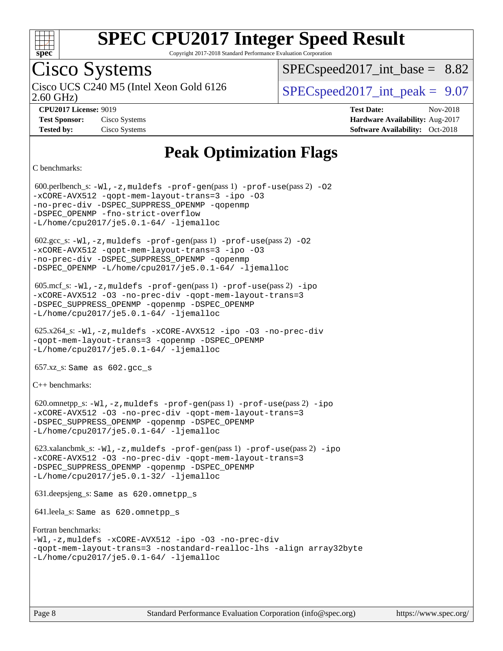

Copyright 2017-2018 Standard Performance Evaluation Corporation

## Cisco Systems

2.60 GHz) Cisco UCS C240 M5 (Intel Xeon Gold 6126  $\vert$  [SPECspeed2017\\_int\\_peak =](http://www.spec.org/auto/cpu2017/Docs/result-fields.html#SPECspeed2017intpeak) 9.07

 $SPECspeed2017\_int\_base = 8.82$ 

**[Tested by:](http://www.spec.org/auto/cpu2017/Docs/result-fields.html#Testedby)** Cisco Systems **[Software Availability:](http://www.spec.org/auto/cpu2017/Docs/result-fields.html#SoftwareAvailability)** Oct-2018

**[CPU2017 License:](http://www.spec.org/auto/cpu2017/Docs/result-fields.html#CPU2017License)** 9019 **[Test Date:](http://www.spec.org/auto/cpu2017/Docs/result-fields.html#TestDate)** Nov-2018 **[Test Sponsor:](http://www.spec.org/auto/cpu2017/Docs/result-fields.html#TestSponsor)** Cisco Systems **[Hardware Availability:](http://www.spec.org/auto/cpu2017/Docs/result-fields.html#HardwareAvailability)** Aug-2017

### **[Peak Optimization Flags](http://www.spec.org/auto/cpu2017/Docs/result-fields.html#PeakOptimizationFlags)**

[C benchmarks](http://www.spec.org/auto/cpu2017/Docs/result-fields.html#Cbenchmarks):

 600.perlbench\_s: [-Wl,-z,muldefs](http://www.spec.org/cpu2017/results/res2018q4/cpu2017-20181211-10248.flags.html#user_peakEXTRA_LDFLAGS600_perlbench_s_link_force_multiple1_b4cbdb97b34bdee9ceefcfe54f4c8ea74255f0b02a4b23e853cdb0e18eb4525ac79b5a88067c842dd0ee6996c24547a27a4b99331201badda8798ef8a743f577) [-prof-gen](http://www.spec.org/cpu2017/results/res2018q4/cpu2017-20181211-10248.flags.html#user_peakPASS1_CFLAGSPASS1_LDFLAGS600_perlbench_s_prof_gen_5aa4926d6013ddb2a31985c654b3eb18169fc0c6952a63635c234f711e6e63dd76e94ad52365559451ec499a2cdb89e4dc58ba4c67ef54ca681ffbe1461d6b36)(pass 1) [-prof-use](http://www.spec.org/cpu2017/results/res2018q4/cpu2017-20181211-10248.flags.html#user_peakPASS2_CFLAGSPASS2_LDFLAGS600_perlbench_s_prof_use_1a21ceae95f36a2b53c25747139a6c16ca95bd9def2a207b4f0849963b97e94f5260e30a0c64f4bb623698870e679ca08317ef8150905d41bd88c6f78df73f19)(pass 2) [-O2](http://www.spec.org/cpu2017/results/res2018q4/cpu2017-20181211-10248.flags.html#user_peakPASS1_COPTIMIZE600_perlbench_s_f-O2) [-xCORE-AVX512](http://www.spec.org/cpu2017/results/res2018q4/cpu2017-20181211-10248.flags.html#user_peakPASS2_COPTIMIZE600_perlbench_s_f-xCORE-AVX512) [-qopt-mem-layout-trans=3](http://www.spec.org/cpu2017/results/res2018q4/cpu2017-20181211-10248.flags.html#user_peakPASS1_COPTIMIZEPASS2_COPTIMIZE600_perlbench_s_f-qopt-mem-layout-trans_de80db37974c74b1f0e20d883f0b675c88c3b01e9d123adea9b28688d64333345fb62bc4a798493513fdb68f60282f9a726aa07f478b2f7113531aecce732043) [-ipo](http://www.spec.org/cpu2017/results/res2018q4/cpu2017-20181211-10248.flags.html#user_peakPASS2_COPTIMIZE600_perlbench_s_f-ipo) [-O3](http://www.spec.org/cpu2017/results/res2018q4/cpu2017-20181211-10248.flags.html#user_peakPASS2_COPTIMIZE600_perlbench_s_f-O3) [-no-prec-div](http://www.spec.org/cpu2017/results/res2018q4/cpu2017-20181211-10248.flags.html#user_peakPASS2_COPTIMIZE600_perlbench_s_f-no-prec-div) [-DSPEC\\_SUPPRESS\\_OPENMP](http://www.spec.org/cpu2017/results/res2018q4/cpu2017-20181211-10248.flags.html#suite_peakPASS1_COPTIMIZE600_perlbench_s_DSPEC_SUPPRESS_OPENMP) [-qopenmp](http://www.spec.org/cpu2017/results/res2018q4/cpu2017-20181211-10248.flags.html#user_peakPASS2_COPTIMIZE600_perlbench_s_qopenmp_16be0c44f24f464004c6784a7acb94aca937f053568ce72f94b139a11c7c168634a55f6653758ddd83bcf7b8463e8028bb0b48b77bcddc6b78d5d95bb1df2967) -DSPEC OPENMP [-fno-strict-overflow](http://www.spec.org/cpu2017/results/res2018q4/cpu2017-20181211-10248.flags.html#user_peakEXTRA_OPTIMIZE600_perlbench_s_f-fno-strict-overflow)  $-L/home/cpu2017/$ je5.0.1-64/ [-ljemalloc](http://www.spec.org/cpu2017/results/res2018q4/cpu2017-20181211-10248.flags.html#user_peakEXTRA_LIBS600_perlbench_s_jemalloc_link_lib_d1249b907c500fa1c0672f44f562e3d0f79738ae9e3c4a9c376d49f265a04b9c99b167ecedbf6711b3085be911c67ff61f150a17b3472be731631ba4d0471706)  $602.\text{sec}\text{s}: -W1, -z$ , muldefs  $-\text{prof}-\text{gen}(pass 1) -\text{prof}-\text{use}(pass 2) -02$ [-xCORE-AVX512](http://www.spec.org/cpu2017/results/res2018q4/cpu2017-20181211-10248.flags.html#user_peakPASS2_COPTIMIZE602_gcc_s_f-xCORE-AVX512) [-qopt-mem-layout-trans=3](http://www.spec.org/cpu2017/results/res2018q4/cpu2017-20181211-10248.flags.html#user_peakPASS1_COPTIMIZEPASS2_COPTIMIZE602_gcc_s_f-qopt-mem-layout-trans_de80db37974c74b1f0e20d883f0b675c88c3b01e9d123adea9b28688d64333345fb62bc4a798493513fdb68f60282f9a726aa07f478b2f7113531aecce732043) [-ipo](http://www.spec.org/cpu2017/results/res2018q4/cpu2017-20181211-10248.flags.html#user_peakPASS2_COPTIMIZE602_gcc_s_f-ipo) [-O3](http://www.spec.org/cpu2017/results/res2018q4/cpu2017-20181211-10248.flags.html#user_peakPASS2_COPTIMIZE602_gcc_s_f-O3) [-no-prec-div](http://www.spec.org/cpu2017/results/res2018q4/cpu2017-20181211-10248.flags.html#user_peakPASS2_COPTIMIZE602_gcc_s_f-no-prec-div) [-DSPEC\\_SUPPRESS\\_OPENMP](http://www.spec.org/cpu2017/results/res2018q4/cpu2017-20181211-10248.flags.html#suite_peakPASS1_COPTIMIZE602_gcc_s_DSPEC_SUPPRESS_OPENMP) [-qopenmp](http://www.spec.org/cpu2017/results/res2018q4/cpu2017-20181211-10248.flags.html#user_peakPASS2_COPTIMIZE602_gcc_s_qopenmp_16be0c44f24f464004c6784a7acb94aca937f053568ce72f94b139a11c7c168634a55f6653758ddd83bcf7b8463e8028bb0b48b77bcddc6b78d5d95bb1df2967) [-DSPEC\\_OPENMP](http://www.spec.org/cpu2017/results/res2018q4/cpu2017-20181211-10248.flags.html#suite_peakPASS2_COPTIMIZE602_gcc_s_DSPEC_OPENMP) [-L/home/cpu2017/je5.0.1-64/](http://www.spec.org/cpu2017/results/res2018q4/cpu2017-20181211-10248.flags.html#user_peakEXTRA_LIBS602_gcc_s_jemalloc_link_path64_8e927a5f1bdac0405e66c637541874330e08086b5e62a1d024bcf3497e3c64fd173c8afb7d1730d51f6da781ef4c439bdab468bb8364cf71435e0c609fac500c) [-ljemalloc](http://www.spec.org/cpu2017/results/res2018q4/cpu2017-20181211-10248.flags.html#user_peakEXTRA_LIBS602_gcc_s_jemalloc_link_lib_d1249b907c500fa1c0672f44f562e3d0f79738ae9e3c4a9c376d49f265a04b9c99b167ecedbf6711b3085be911c67ff61f150a17b3472be731631ba4d0471706) 605.mcf\_s: [-Wl,-z,muldefs](http://www.spec.org/cpu2017/results/res2018q4/cpu2017-20181211-10248.flags.html#user_peakEXTRA_LDFLAGS605_mcf_s_link_force_multiple1_b4cbdb97b34bdee9ceefcfe54f4c8ea74255f0b02a4b23e853cdb0e18eb4525ac79b5a88067c842dd0ee6996c24547a27a4b99331201badda8798ef8a743f577) [-prof-gen](http://www.spec.org/cpu2017/results/res2018q4/cpu2017-20181211-10248.flags.html#user_peakPASS1_CFLAGSPASS1_LDFLAGS605_mcf_s_prof_gen_5aa4926d6013ddb2a31985c654b3eb18169fc0c6952a63635c234f711e6e63dd76e94ad52365559451ec499a2cdb89e4dc58ba4c67ef54ca681ffbe1461d6b36)(pass 1) [-prof-use](http://www.spec.org/cpu2017/results/res2018q4/cpu2017-20181211-10248.flags.html#user_peakPASS2_CFLAGSPASS2_LDFLAGS605_mcf_s_prof_use_1a21ceae95f36a2b53c25747139a6c16ca95bd9def2a207b4f0849963b97e94f5260e30a0c64f4bb623698870e679ca08317ef8150905d41bd88c6f78df73f19)(pass 2) [-ipo](http://www.spec.org/cpu2017/results/res2018q4/cpu2017-20181211-10248.flags.html#user_peakPASS1_COPTIMIZEPASS2_COPTIMIZE605_mcf_s_f-ipo) [-xCORE-AVX512](http://www.spec.org/cpu2017/results/res2018q4/cpu2017-20181211-10248.flags.html#user_peakPASS2_COPTIMIZE605_mcf_s_f-xCORE-AVX512) [-O3](http://www.spec.org/cpu2017/results/res2018q4/cpu2017-20181211-10248.flags.html#user_peakPASS1_COPTIMIZEPASS2_COPTIMIZE605_mcf_s_f-O3) [-no-prec-div](http://www.spec.org/cpu2017/results/res2018q4/cpu2017-20181211-10248.flags.html#user_peakPASS1_COPTIMIZEPASS2_COPTIMIZE605_mcf_s_f-no-prec-div) [-qopt-mem-layout-trans=3](http://www.spec.org/cpu2017/results/res2018q4/cpu2017-20181211-10248.flags.html#user_peakPASS1_COPTIMIZEPASS2_COPTIMIZE605_mcf_s_f-qopt-mem-layout-trans_de80db37974c74b1f0e20d883f0b675c88c3b01e9d123adea9b28688d64333345fb62bc4a798493513fdb68f60282f9a726aa07f478b2f7113531aecce732043) [-DSPEC\\_SUPPRESS\\_OPENMP](http://www.spec.org/cpu2017/results/res2018q4/cpu2017-20181211-10248.flags.html#suite_peakPASS1_COPTIMIZE605_mcf_s_DSPEC_SUPPRESS_OPENMP) [-qopenmp](http://www.spec.org/cpu2017/results/res2018q4/cpu2017-20181211-10248.flags.html#user_peakPASS2_COPTIMIZE605_mcf_s_qopenmp_16be0c44f24f464004c6784a7acb94aca937f053568ce72f94b139a11c7c168634a55f6653758ddd83bcf7b8463e8028bb0b48b77bcddc6b78d5d95bb1df2967) [-DSPEC\\_OPENMP](http://www.spec.org/cpu2017/results/res2018q4/cpu2017-20181211-10248.flags.html#suite_peakPASS2_COPTIMIZE605_mcf_s_DSPEC_OPENMP) [-L/home/cpu2017/je5.0.1-64/](http://www.spec.org/cpu2017/results/res2018q4/cpu2017-20181211-10248.flags.html#user_peakEXTRA_LIBS605_mcf_s_jemalloc_link_path64_8e927a5f1bdac0405e66c637541874330e08086b5e62a1d024bcf3497e3c64fd173c8afb7d1730d51f6da781ef4c439bdab468bb8364cf71435e0c609fac500c) [-ljemalloc](http://www.spec.org/cpu2017/results/res2018q4/cpu2017-20181211-10248.flags.html#user_peakEXTRA_LIBS605_mcf_s_jemalloc_link_lib_d1249b907c500fa1c0672f44f562e3d0f79738ae9e3c4a9c376d49f265a04b9c99b167ecedbf6711b3085be911c67ff61f150a17b3472be731631ba4d0471706) 625.x264\_s: [-Wl,-z,muldefs](http://www.spec.org/cpu2017/results/res2018q4/cpu2017-20181211-10248.flags.html#user_peakEXTRA_LDFLAGS625_x264_s_link_force_multiple1_b4cbdb97b34bdee9ceefcfe54f4c8ea74255f0b02a4b23e853cdb0e18eb4525ac79b5a88067c842dd0ee6996c24547a27a4b99331201badda8798ef8a743f577) [-xCORE-AVX512](http://www.spec.org/cpu2017/results/res2018q4/cpu2017-20181211-10248.flags.html#user_peakCOPTIMIZE625_x264_s_f-xCORE-AVX512) [-ipo](http://www.spec.org/cpu2017/results/res2018q4/cpu2017-20181211-10248.flags.html#user_peakCOPTIMIZE625_x264_s_f-ipo) [-O3](http://www.spec.org/cpu2017/results/res2018q4/cpu2017-20181211-10248.flags.html#user_peakCOPTIMIZE625_x264_s_f-O3) [-no-prec-div](http://www.spec.org/cpu2017/results/res2018q4/cpu2017-20181211-10248.flags.html#user_peakCOPTIMIZE625_x264_s_f-no-prec-div) [-qopt-mem-layout-trans=3](http://www.spec.org/cpu2017/results/res2018q4/cpu2017-20181211-10248.flags.html#user_peakCOPTIMIZE625_x264_s_f-qopt-mem-layout-trans_de80db37974c74b1f0e20d883f0b675c88c3b01e9d123adea9b28688d64333345fb62bc4a798493513fdb68f60282f9a726aa07f478b2f7113531aecce732043) [-qopenmp](http://www.spec.org/cpu2017/results/res2018q4/cpu2017-20181211-10248.flags.html#user_peakCOPTIMIZE625_x264_s_qopenmp_16be0c44f24f464004c6784a7acb94aca937f053568ce72f94b139a11c7c168634a55f6653758ddd83bcf7b8463e8028bb0b48b77bcddc6b78d5d95bb1df2967) [-DSPEC\\_OPENMP](http://www.spec.org/cpu2017/results/res2018q4/cpu2017-20181211-10248.flags.html#suite_peakCOPTIMIZE625_x264_s_DSPEC_OPENMP) [-L/home/cpu2017/je5.0.1-64/](http://www.spec.org/cpu2017/results/res2018q4/cpu2017-20181211-10248.flags.html#user_peakEXTRA_LIBS625_x264_s_jemalloc_link_path64_8e927a5f1bdac0405e66c637541874330e08086b5e62a1d024bcf3497e3c64fd173c8afb7d1730d51f6da781ef4c439bdab468bb8364cf71435e0c609fac500c) [-ljemalloc](http://www.spec.org/cpu2017/results/res2018q4/cpu2017-20181211-10248.flags.html#user_peakEXTRA_LIBS625_x264_s_jemalloc_link_lib_d1249b907c500fa1c0672f44f562e3d0f79738ae9e3c4a9c376d49f265a04b9c99b167ecedbf6711b3085be911c67ff61f150a17b3472be731631ba4d0471706)  $657.xz$ \_s: Same as  $602.gcc$ \_s [C++ benchmarks:](http://www.spec.org/auto/cpu2017/Docs/result-fields.html#CXXbenchmarks) 620.omnetpp\_s: [-Wl,-z,muldefs](http://www.spec.org/cpu2017/results/res2018q4/cpu2017-20181211-10248.flags.html#user_peakEXTRA_LDFLAGS620_omnetpp_s_link_force_multiple1_b4cbdb97b34bdee9ceefcfe54f4c8ea74255f0b02a4b23e853cdb0e18eb4525ac79b5a88067c842dd0ee6996c24547a27a4b99331201badda8798ef8a743f577) [-prof-gen](http://www.spec.org/cpu2017/results/res2018q4/cpu2017-20181211-10248.flags.html#user_peakPASS1_CXXFLAGSPASS1_LDFLAGS620_omnetpp_s_prof_gen_5aa4926d6013ddb2a31985c654b3eb18169fc0c6952a63635c234f711e6e63dd76e94ad52365559451ec499a2cdb89e4dc58ba4c67ef54ca681ffbe1461d6b36)(pass 1) [-prof-use](http://www.spec.org/cpu2017/results/res2018q4/cpu2017-20181211-10248.flags.html#user_peakPASS2_CXXFLAGSPASS2_LDFLAGS620_omnetpp_s_prof_use_1a21ceae95f36a2b53c25747139a6c16ca95bd9def2a207b4f0849963b97e94f5260e30a0c64f4bb623698870e679ca08317ef8150905d41bd88c6f78df73f19)(pass 2) [-ipo](http://www.spec.org/cpu2017/results/res2018q4/cpu2017-20181211-10248.flags.html#user_peakPASS1_CXXOPTIMIZEPASS2_CXXOPTIMIZE620_omnetpp_s_f-ipo) [-xCORE-AVX512](http://www.spec.org/cpu2017/results/res2018q4/cpu2017-20181211-10248.flags.html#user_peakPASS2_CXXOPTIMIZE620_omnetpp_s_f-xCORE-AVX512) [-O3](http://www.spec.org/cpu2017/results/res2018q4/cpu2017-20181211-10248.flags.html#user_peakPASS1_CXXOPTIMIZEPASS2_CXXOPTIMIZE620_omnetpp_s_f-O3) [-no-prec-div](http://www.spec.org/cpu2017/results/res2018q4/cpu2017-20181211-10248.flags.html#user_peakPASS1_CXXOPTIMIZEPASS2_CXXOPTIMIZE620_omnetpp_s_f-no-prec-div) [-qopt-mem-layout-trans=3](http://www.spec.org/cpu2017/results/res2018q4/cpu2017-20181211-10248.flags.html#user_peakPASS1_CXXOPTIMIZEPASS2_CXXOPTIMIZE620_omnetpp_s_f-qopt-mem-layout-trans_de80db37974c74b1f0e20d883f0b675c88c3b01e9d123adea9b28688d64333345fb62bc4a798493513fdb68f60282f9a726aa07f478b2f7113531aecce732043) [-DSPEC\\_SUPPRESS\\_OPENMP](http://www.spec.org/cpu2017/results/res2018q4/cpu2017-20181211-10248.flags.html#suite_peakPASS1_CXXOPTIMIZE620_omnetpp_s_DSPEC_SUPPRESS_OPENMP) [-qopenmp](http://www.spec.org/cpu2017/results/res2018q4/cpu2017-20181211-10248.flags.html#user_peakPASS2_CXXOPTIMIZE620_omnetpp_s_qopenmp_16be0c44f24f464004c6784a7acb94aca937f053568ce72f94b139a11c7c168634a55f6653758ddd83bcf7b8463e8028bb0b48b77bcddc6b78d5d95bb1df2967) [-DSPEC\\_OPENMP](http://www.spec.org/cpu2017/results/res2018q4/cpu2017-20181211-10248.flags.html#suite_peakPASS2_CXXOPTIMIZE620_omnetpp_s_DSPEC_OPENMP) [-L/home/cpu2017/je5.0.1-64/](http://www.spec.org/cpu2017/results/res2018q4/cpu2017-20181211-10248.flags.html#user_peakEXTRA_LIBS620_omnetpp_s_jemalloc_link_path64_8e927a5f1bdac0405e66c637541874330e08086b5e62a1d024bcf3497e3c64fd173c8afb7d1730d51f6da781ef4c439bdab468bb8364cf71435e0c609fac500c) [-ljemalloc](http://www.spec.org/cpu2017/results/res2018q4/cpu2017-20181211-10248.flags.html#user_peakEXTRA_LIBS620_omnetpp_s_jemalloc_link_lib_d1249b907c500fa1c0672f44f562e3d0f79738ae9e3c4a9c376d49f265a04b9c99b167ecedbf6711b3085be911c67ff61f150a17b3472be731631ba4d0471706) 623.xalancbmk\_s: [-Wl,-z,muldefs](http://www.spec.org/cpu2017/results/res2018q4/cpu2017-20181211-10248.flags.html#user_peakEXTRA_LDFLAGS623_xalancbmk_s_link_force_multiple1_b4cbdb97b34bdee9ceefcfe54f4c8ea74255f0b02a4b23e853cdb0e18eb4525ac79b5a88067c842dd0ee6996c24547a27a4b99331201badda8798ef8a743f577) [-prof-gen](http://www.spec.org/cpu2017/results/res2018q4/cpu2017-20181211-10248.flags.html#user_peakPASS1_CXXFLAGSPASS1_LDFLAGS623_xalancbmk_s_prof_gen_5aa4926d6013ddb2a31985c654b3eb18169fc0c6952a63635c234f711e6e63dd76e94ad52365559451ec499a2cdb89e4dc58ba4c67ef54ca681ffbe1461d6b36)(pass 1) [-prof-use](http://www.spec.org/cpu2017/results/res2018q4/cpu2017-20181211-10248.flags.html#user_peakPASS2_CXXFLAGSPASS2_LDFLAGS623_xalancbmk_s_prof_use_1a21ceae95f36a2b53c25747139a6c16ca95bd9def2a207b4f0849963b97e94f5260e30a0c64f4bb623698870e679ca08317ef8150905d41bd88c6f78df73f19)(pass 2) [-ipo](http://www.spec.org/cpu2017/results/res2018q4/cpu2017-20181211-10248.flags.html#user_peakPASS1_CXXOPTIMIZEPASS2_CXXOPTIMIZE623_xalancbmk_s_f-ipo) [-xCORE-AVX512](http://www.spec.org/cpu2017/results/res2018q4/cpu2017-20181211-10248.flags.html#user_peakPASS2_CXXOPTIMIZE623_xalancbmk_s_f-xCORE-AVX512) [-O3](http://www.spec.org/cpu2017/results/res2018q4/cpu2017-20181211-10248.flags.html#user_peakPASS1_CXXOPTIMIZEPASS2_CXXOPTIMIZE623_xalancbmk_s_f-O3) [-no-prec-div](http://www.spec.org/cpu2017/results/res2018q4/cpu2017-20181211-10248.flags.html#user_peakPASS1_CXXOPTIMIZEPASS2_CXXOPTIMIZE623_xalancbmk_s_f-no-prec-div) [-qopt-mem-layout-trans=3](http://www.spec.org/cpu2017/results/res2018q4/cpu2017-20181211-10248.flags.html#user_peakPASS1_CXXOPTIMIZEPASS2_CXXOPTIMIZE623_xalancbmk_s_f-qopt-mem-layout-trans_de80db37974c74b1f0e20d883f0b675c88c3b01e9d123adea9b28688d64333345fb62bc4a798493513fdb68f60282f9a726aa07f478b2f7113531aecce732043) [-DSPEC\\_SUPPRESS\\_OPENMP](http://www.spec.org/cpu2017/results/res2018q4/cpu2017-20181211-10248.flags.html#suite_peakPASS1_CXXOPTIMIZE623_xalancbmk_s_DSPEC_SUPPRESS_OPENMP) [-qopenmp](http://www.spec.org/cpu2017/results/res2018q4/cpu2017-20181211-10248.flags.html#user_peakPASS2_CXXOPTIMIZE623_xalancbmk_s_qopenmp_16be0c44f24f464004c6784a7acb94aca937f053568ce72f94b139a11c7c168634a55f6653758ddd83bcf7b8463e8028bb0b48b77bcddc6b78d5d95bb1df2967) [-DSPEC\\_OPENMP](http://www.spec.org/cpu2017/results/res2018q4/cpu2017-20181211-10248.flags.html#suite_peakPASS2_CXXOPTIMIZE623_xalancbmk_s_DSPEC_OPENMP) [-L/home/cpu2017/je5.0.1-32/](http://www.spec.org/cpu2017/results/res2018q4/cpu2017-20181211-10248.flags.html#user_peakEXTRA_LIBS623_xalancbmk_s_jemalloc_link_path32_395839964bb6e7d127dfa41a70bc909a71494bc32f82a1f18d87c6546a5f35ea9c5ad3c111b30f9a5397a6f43b4f43a41cfbf7d188da9198ed16c21920a4a794) [-ljemalloc](http://www.spec.org/cpu2017/results/res2018q4/cpu2017-20181211-10248.flags.html#user_peakEXTRA_LIBS623_xalancbmk_s_jemalloc_link_lib_d1249b907c500fa1c0672f44f562e3d0f79738ae9e3c4a9c376d49f265a04b9c99b167ecedbf6711b3085be911c67ff61f150a17b3472be731631ba4d0471706) 631.deepsjeng\_s: Same as 620.omnetpp\_s 641.leela\_s: Same as 620.omnetpp\_s [Fortran benchmarks](http://www.spec.org/auto/cpu2017/Docs/result-fields.html#Fortranbenchmarks): [-Wl,-z,muldefs](http://www.spec.org/cpu2017/results/res2018q4/cpu2017-20181211-10248.flags.html#user_FCpeak_link_force_multiple1_b4cbdb97b34bdee9ceefcfe54f4c8ea74255f0b02a4b23e853cdb0e18eb4525ac79b5a88067c842dd0ee6996c24547a27a4b99331201badda8798ef8a743f577) [-xCORE-AVX512](http://www.spec.org/cpu2017/results/res2018q4/cpu2017-20181211-10248.flags.html#user_FCpeak_f-xCORE-AVX512) [-ipo](http://www.spec.org/cpu2017/results/res2018q4/cpu2017-20181211-10248.flags.html#user_FCpeak_f-ipo) [-O3](http://www.spec.org/cpu2017/results/res2018q4/cpu2017-20181211-10248.flags.html#user_FCpeak_f-O3) [-no-prec-div](http://www.spec.org/cpu2017/results/res2018q4/cpu2017-20181211-10248.flags.html#user_FCpeak_f-no-prec-div) [-qopt-mem-layout-trans=3](http://www.spec.org/cpu2017/results/res2018q4/cpu2017-20181211-10248.flags.html#user_FCpeak_f-qopt-mem-layout-trans_de80db37974c74b1f0e20d883f0b675c88c3b01e9d123adea9b28688d64333345fb62bc4a798493513fdb68f60282f9a726aa07f478b2f7113531aecce732043) [-nostandard-realloc-lhs](http://www.spec.org/cpu2017/results/res2018q4/cpu2017-20181211-10248.flags.html#user_FCpeak_f_2003_std_realloc_82b4557e90729c0f113870c07e44d33d6f5a304b4f63d4c15d2d0f1fab99f5daaed73bdb9275d9ae411527f28b936061aa8b9c8f2d63842963b95c9dd6426b8a) [-align array32byte](http://www.spec.org/cpu2017/results/res2018q4/cpu2017-20181211-10248.flags.html#user_FCpeak_align_array32byte_b982fe038af199962ba9a80c053b8342c548c85b40b8e86eb3cc33dee0d7986a4af373ac2d51c3f7cf710a18d62fdce2948f201cd044323541f22fc0fffc51b6) [-L/home/cpu2017/je5.0.1-64/](http://www.spec.org/cpu2017/results/res2018q4/cpu2017-20181211-10248.flags.html#user_FCpeak_jemalloc_link_path64_8e927a5f1bdac0405e66c637541874330e08086b5e62a1d024bcf3497e3c64fd173c8afb7d1730d51f6da781ef4c439bdab468bb8364cf71435e0c609fac500c) [-ljemalloc](http://www.spec.org/cpu2017/results/res2018q4/cpu2017-20181211-10248.flags.html#user_FCpeak_jemalloc_link_lib_d1249b907c500fa1c0672f44f562e3d0f79738ae9e3c4a9c376d49f265a04b9c99b167ecedbf6711b3085be911c67ff61f150a17b3472be731631ba4d0471706)